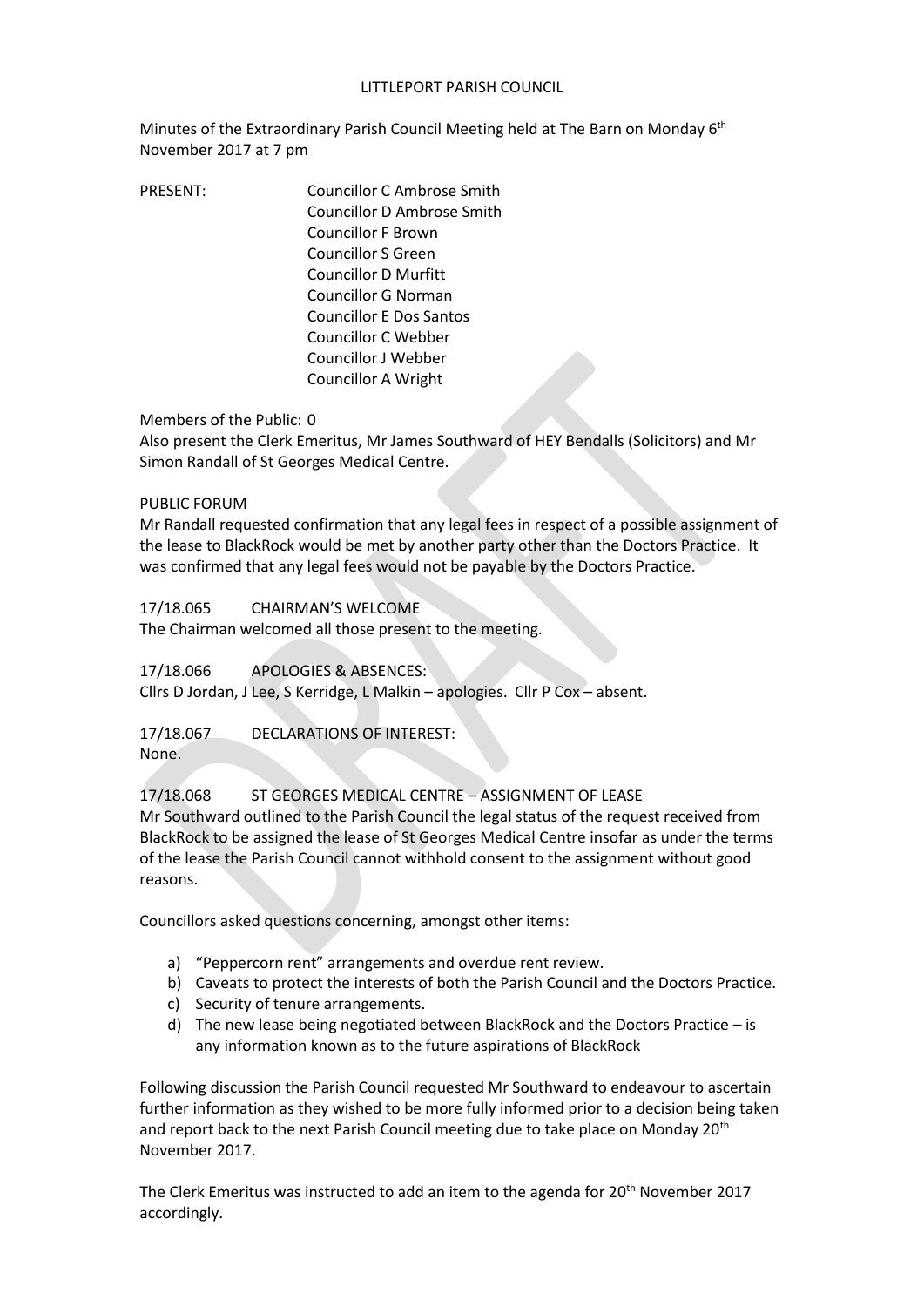## LITTLEPORT PARISH COUNCIL

Minutes of the Extraordinary Parish Council Meeting held at The Barn on Monday 6<sup>th</sup> November 2017 at 7 pm

PRESENT: Councillor C Ambrose Smith Councillor D Ambrose Smith Councillor F Brown Councillor S Green Councillor D Murfitt Councillor G Norman Councillor E Dos Santos Councillor C Webber Councillor J Webber Councillor A Wright

## Members of the Public: 0

Also present the Clerk Emeritus, Mr James Southward of HEY Bendalls (Solicitors) and Mr Simon Randall of St Georges Medical Centre.

## PUBLIC FORUM

Mr Randall requested confirmation that any legal fees in respect of a possible assignment of the lease to BlackRock would be met by another party other than the Doctors Practice. It was confirmed that any legal fees would not be payable by the Doctors Practice.

17/18.065 CHAIRMAN'S WELCOME

The Chairman welcomed all those present to the meeting.

17/18.066 APOLOGIES & ABSENCES:

Cllrs D Jordan, J Lee, S Kerridge, L Malkin – apologies. Cllr P Cox – absent.

17/18.067 DECLARATIONS OF INTEREST:

None.

17/18.068 ST GEORGES MEDICAL CENTRE – ASSIGNMENT OF LEASE Mr Southward outlined to the Parish Council the legal status of the request received from BlackRock to be assigned the lease of St Georges Medical Centre insofar as under the terms of the lease the Parish Council cannot withhold consent to the assignment without good reasons.

Councillors asked questions concerning, amongst other items:

- a) "Peppercorn rent" arrangements and overdue rent review.
- b) Caveats to protect the interests of both the Parish Council and the Doctors Practice.
- c) Security of tenure arrangements.
- d) The new lease being negotiated between BlackRock and the Doctors Practice is any information known as to the future aspirations of BlackRock

Following discussion the Parish Council requested Mr Southward to endeavour to ascertain further information as they wished to be more fully informed prior to a decision being taken and report back to the next Parish Council meeting due to take place on Monday 20<sup>th</sup> November 2017.

The Clerk Emeritus was instructed to add an item to the agenda for 20<sup>th</sup> November 2017 accordingly.